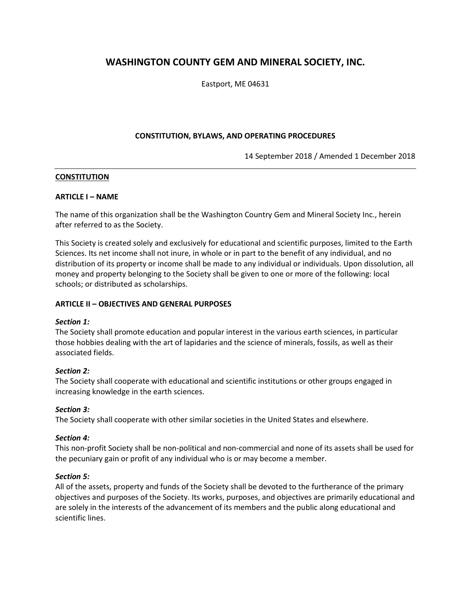# **WASHINGTON COUNTY GEM AND MINERAL SOCIETY, INC.**

Eastport, ME 04631

# **CONSTITUTION, BYLAWS, AND OPERATING PROCEDURES**

14 September 2018 / Amended 1 December 2018

### **CONSTITUTION**

### **ARTICLE I – NAME**

The name of this organization shall be the Washington Country Gem and Mineral Society Inc., herein after referred to as the Society.

This Society is created solely and exclusively for educational and scientific purposes, limited to the Earth Sciences. Its net income shall not inure, in whole or in part to the benefit of any individual, and no distribution of its property or income shall be made to any individual or individuals. Upon dissolution, all money and property belonging to the Society shall be given to one or more of the following: local schools; or distributed as scholarships.

### **ARTICLE II – OBJECTIVES AND GENERAL PURPOSES**

### *Section 1:*

The Society shall promote education and popular interest in the various earth sciences, in particular those hobbies dealing with the art of lapidaries and the science of minerals, fossils, as well as their associated fields.

### *Section 2:*

The Society shall cooperate with educational and scientific institutions or other groups engaged in increasing knowledge in the earth sciences.

# *Section 3:*

The Society shall cooperate with other similar societies in the United States and elsewhere.

# *Section 4:*

This non-profit Society shall be non-political and non-commercial and none of its assets shall be used for the pecuniary gain or profit of any individual who is or may become a member.

### *Section 5:*

All of the assets, property and funds of the Society shall be devoted to the furtherance of the primary objectives and purposes of the Society. Its works, purposes, and objectives are primarily educational and are solely in the interests of the advancement of its members and the public along educational and scientific lines.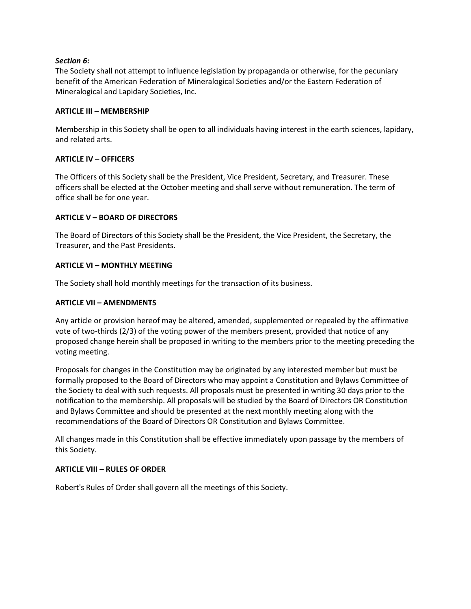# *Section 6:*

The Society shall not attempt to influence legislation by propaganda or otherwise, for the pecuniary benefit of the American Federation of Mineralogical Societies and/or the Eastern Federation of Mineralogical and Lapidary Societies, Inc.

# **ARTICLE III – MEMBERSHIP**

Membership in this Society shall be open to all individuals having interest in the earth sciences, lapidary, and related arts.

# **ARTICLE IV – OFFICERS**

The Officers of this Society shall be the President, Vice President, Secretary, and Treasurer. These officers shall be elected at the October meeting and shall serve without remuneration. The term of office shall be for one year.

# **ARTICLE V – BOARD OF DIRECTORS**

The Board of Directors of this Society shall be the President, the Vice President, the Secretary, the Treasurer, and the Past Presidents.

# **ARTICLE VI – MONTHLY MEETING**

The Society shall hold monthly meetings for the transaction of its business.

# **ARTICLE VII – AMENDMENTS**

Any article or provision hereof may be altered, amended, supplemented or repealed by the affirmative vote of two-thirds (2/3) of the voting power of the members present, provided that notice of any proposed change herein shall be proposed in writing to the members prior to the meeting preceding the voting meeting.

Proposals for changes in the Constitution may be originated by any interested member but must be formally proposed to the Board of Directors who may appoint a Constitution and Bylaws Committee of the Society to deal with such requests. All proposals must be presented in writing 30 days prior to the notification to the membership. All proposals will be studied by the Board of Directors OR Constitution and Bylaws Committee and should be presented at the next monthly meeting along with the recommendations of the Board of Directors OR Constitution and Bylaws Committee.

All changes made in this Constitution shall be effective immediately upon passage by the members of this Society.

# **ARTICLE VIII – RULES OF ORDER**

Robert's Rules of Order shall govern all the meetings of this Society.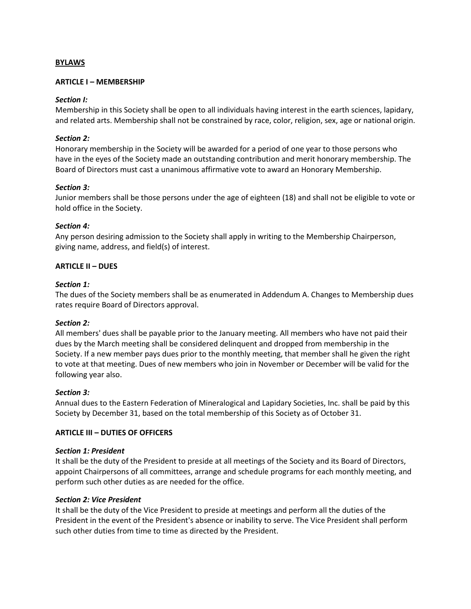### **BYLAWS**

### **ARTICLE I – MEMBERSHIP**

### *Section I:*

Membership in this Society shall be open to all individuals having interest in the earth sciences, lapidary, and related arts. Membership shall not be constrained by race, color, religion, sex, age or national origin.

### *Section 2:*

Honorary membership in the Society will be awarded for a period of one year to those persons who have in the eyes of the Society made an outstanding contribution and merit honorary membership. The Board of Directors must cast a unanimous affirmative vote to award an Honorary Membership.

### *Section 3:*

Junior members shall be those persons under the age of eighteen (18) and shall not be eligible to vote or hold office in the Society.

### *Section 4:*

Any person desiring admission to the Society shall apply in writing to the Membership Chairperson, giving name, address, and field(s) of interest.

### **ARTICLE II – DUES**

### *Section 1:*

The dues of the Society members shall be as enumerated in Addendum A. Changes to Membership dues rates require Board of Directors approval.

### *Section 2:*

All members' dues shall be payable prior to the January meeting. All members who have not paid their dues by the March meeting shall be considered delinquent and dropped from membership in the Society. If a new member pays dues prior to the monthly meeting, that member shall he given the right to vote at that meeting. Dues of new members who join in November or December will be valid for the following year also.

### *Section 3:*

Annual dues to the Eastern Federation of Mineralogical and Lapidary Societies, Inc. shall be paid by this Society by December 31, based on the total membership of this Society as of October 31.

### **ARTICLE III – DUTIES OF OFFICERS**

### *Section 1: President*

It shall be the duty of the President to preside at all meetings of the Society and its Board of Directors, appoint Chairpersons of all committees, arrange and schedule programs for each monthly meeting, and perform such other duties as are needed for the office.

### *Section 2: Vice President*

It shall be the duty of the Vice President to preside at meetings and perform all the duties of the President in the event of the President's absence or inability to serve. The Vice President shall perform such other duties from time to time as directed by the President.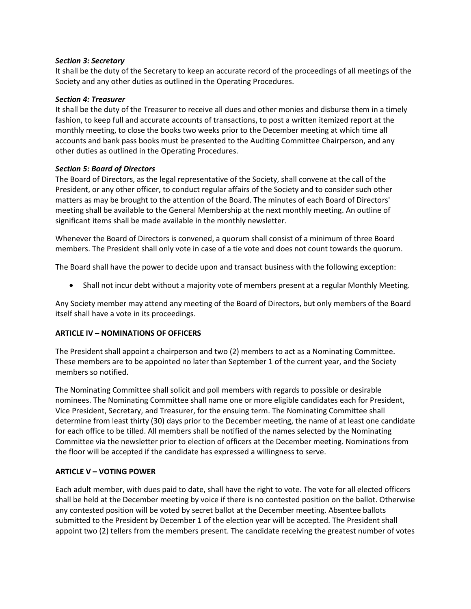### *Section 3: Secretary*

It shall be the duty of the Secretary to keep an accurate record of the proceedings of all meetings of the Society and any other duties as outlined in the Operating Procedures.

### *Section 4: Treasurer*

It shall be the duty of the Treasurer to receive all dues and other monies and disburse them in a timely fashion, to keep full and accurate accounts of transactions, to post a written itemized report at the monthly meeting, to close the books two weeks prior to the December meeting at which time all accounts and bank pass books must be presented to the Auditing Committee Chairperson, and any other duties as outlined in the Operating Procedures.

### *Section 5: Board of Directors*

The Board of Directors, as the legal representative of the Society, shall convene at the call of the President, or any other officer, to conduct regular affairs of the Society and to consider such other matters as may be brought to the attention of the Board. The minutes of each Board of Directors' meeting shall be available to the General Membership at the next monthly meeting. An outline of significant items shall be made available in the monthly newsletter.

Whenever the Board of Directors is convened, a quorum shall consist of a minimum of three Board members. The President shall only vote in case of a tie vote and does not count towards the quorum.

The Board shall have the power to decide upon and transact business with the following exception:

• Shall not incur debt without a majority vote of members present at a regular Monthly Meeting.

Any Society member may attend any meeting of the Board of Directors, but only members of the Board itself shall have a vote in its proceedings.

### **ARTICLE IV – NOMINATIONS OF OFFICERS**

The President shall appoint a chairperson and two (2) members to act as a Nominating Committee. These members are to be appointed no later than September 1 of the current year, and the Society members so notified.

The Nominating Committee shall solicit and poll members with regards to possible or desirable nominees. The Nominating Committee shall name one or more eligible candidates each for President, Vice President, Secretary, and Treasurer, for the ensuing term. The Nominating Committee shall determine from least thirty (30) days prior to the December meeting, the name of at least one candidate for each office to be tilled. All members shall be notified of the names selected by the Nominating Committee via the newsletter prior to election of officers at the December meeting. Nominations from the floor will be accepted if the candidate has expressed a willingness to serve.

### **ARTICLE V – VOTING POWER**

Each adult member, with dues paid to date, shall have the right to vote. The vote for all elected officers shall be held at the December meeting by voice if there is no contested position on the ballot. Otherwise any contested position will be voted by secret ballot at the December meeting. Absentee ballots submitted to the President by December 1 of the election year will be accepted. The President shall appoint two (2) tellers from the members present. The candidate receiving the greatest number of votes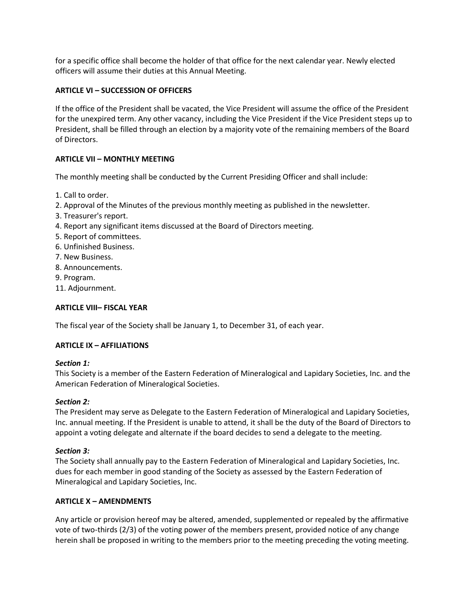for a specific office shall become the holder of that office for the next calendar year. Newly elected officers will assume their duties at this Annual Meeting.

# **ARTICLE VI – SUCCESSION OF OFFICERS**

If the office of the President shall be vacated, the Vice President will assume the office of the President for the unexpired term. Any other vacancy, including the Vice President if the Vice President steps up to President, shall be filled through an election by a majority vote of the remaining members of the Board of Directors.

# **ARTICLE VII – MONTHLY MEETING**

The monthly meeting shall be conducted by the Current Presiding Officer and shall include:

- 1. Call to order.
- 2. Approval of the Minutes of the previous monthly meeting as published in the newsletter.
- 3. Treasurer's report.
- 4. Report any significant items discussed at the Board of Directors meeting.
- 5. Report of committees.
- 6. Unfinished Business.
- 7. New Business.
- 8. Announcements.
- 9. Program.
- 11. Adjournment.

# **ARTICLE VIII– FISCAL YEAR**

The fiscal year of the Society shall be January 1, to December 31, of each year.

# **ARTICLE IX – AFFILIATIONS**

# *Section 1:*

This Society is a member of the Eastern Federation of Mineralogical and Lapidary Societies, Inc. and the American Federation of Mineralogical Societies.

# *Section 2:*

The President may serve as Delegate to the Eastern Federation of Mineralogical and Lapidary Societies, Inc. annual meeting. If the President is unable to attend, it shall be the duty of the Board of Directors to appoint a voting delegate and alternate if the board decides to send a delegate to the meeting.

# *Section 3:*

The Society shall annually pay to the Eastern Federation of Mineralogical and Lapidary Societies, Inc. dues for each member in good standing of the Society as assessed by the Eastern Federation of Mineralogical and Lapidary Societies, Inc.

# **ARTICLE X – AMENDMENTS**

Any article or provision hereof may be altered, amended, supplemented or repealed by the affirmative vote of two-thirds (2/3) of the voting power of the members present, provided notice of any change herein shall be proposed in writing to the members prior to the meeting preceding the voting meeting.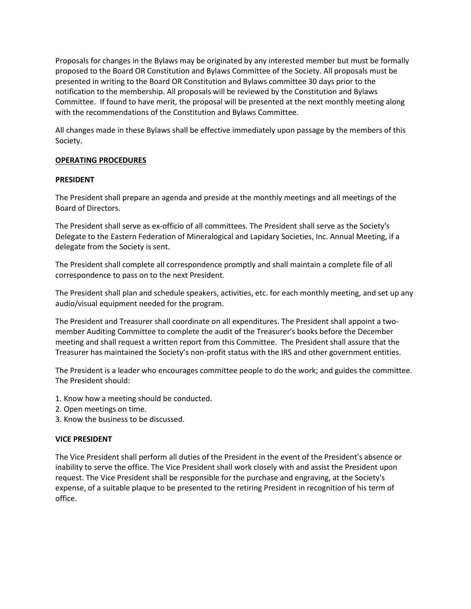Proposals for changes in the Bylaws may be originated by any interested member but must be formally proposed to the Board OR Constitution and Bylaws Committee of the Society. All proposals must be presented in writing to the Board OR Constitution and Bylaws committee 30 days prior to the notification to the membership. All proposals will be reviewed by the Constitution and Bylaws Committee. If found to have merit, the proposal will be presented at the next monthly meeting along with the recommendations of the Constitution and Bylaws Committee.

All changes made in these Bylaws shall be effective immediately upon passage by the members of this Society.

# **OPERATING PROCEDURES**

# **PRESIDENT**

The President shall prepare an agenda and preside at the monthly meetings and all meetings of the Board of Directors.

The President shall serve as ex-officio of all committees. The President shall serve as the Society's Delegate to the Eastern Federation of Mineralogical and Lapidary Societies, Inc. Annual Meeting, if a delegate from the Society is sent.

The President shall complete all correspondence promptly and shall maintain a complete file of all correspondence to pass on to the next President.

The President shall plan and schedule speakers, activities, etc. for each monthly meeting, and set up any audio/visual equipment needed for the program.

The President and Treasurer shall coordinate on all expenditures. The President shall appoint a twomember Auditing Committee to complete the audit of the Treasurer's books before the December meeting and shall request a written report from this Committee. The President shall assure that the Treasurer has maintained the Society's non-profit status with the IRS and other government entities.

The President is a leader who encourages committee people to do the work; and guides the committee. The President should:

- 1. Know how a meeting should be conducted.
- 2. Open meetings on time.
- 3. Know the business to be discussed.

### **VICE PRESIDENT**

The Vice President shall perform all duties of the President in the event of the President's absence or inability to serve the office. The Vice President shall work closely with and assist the President upon request. The Vice President shall be responsible for the purchase and engraving, at the Society's expense, of a suitable plaque to be presented to the retiring President in recognition of his term of office.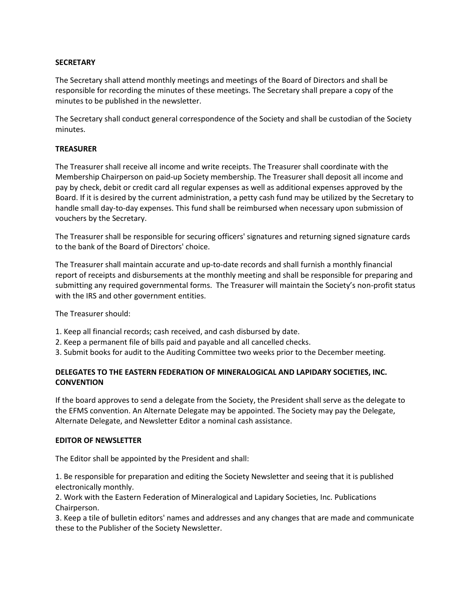# **SECRETARY**

The Secretary shall attend monthly meetings and meetings of the Board of Directors and shall be responsible for recording the minutes of these meetings. The Secretary shall prepare a copy of the minutes to be published in the newsletter.

The Secretary shall conduct general correspondence of the Society and shall be custodian of the Society minutes.

### **TREASURER**

The Treasurer shall receive all income and write receipts. The Treasurer shall coordinate with the Membership Chairperson on paid-up Society membership. The Treasurer shall deposit all income and pay by check, debit or credit card all regular expenses as well as additional expenses approved by the Board. If it is desired by the current administration, a petty cash fund may be utilized by the Secretary to handle small day-to-day expenses. This fund shall be reimbursed when necessary upon submission of vouchers by the Secretary.

The Treasurer shall be responsible for securing officers' signatures and returning signed signature cards to the bank of the Board of Directors' choice.

The Treasurer shall maintain accurate and up-to-date records and shall furnish a monthly financial report of receipts and disbursements at the monthly meeting and shall be responsible for preparing and submitting any required governmental forms. The Treasurer will maintain the Society's non-profit status with the IRS and other government entities.

The Treasurer should:

- 1. Keep all financial records; cash received, and cash disbursed by date.
- 2. Keep a permanent file of bills paid and payable and all cancelled checks.
- 3. Submit books for audit to the Auditing Committee two weeks prior to the December meeting.

# **DELEGATES TO THE EASTERN FEDERATION OF MINERALOGICAL AND LAPIDARY SOCIETIES, INC. CONVENTION**

If the board approves to send a delegate from the Society, the President shall serve as the delegate to the EFMS convention. An Alternate Delegate may be appointed. The Society may pay the Delegate, Alternate Delegate, and Newsletter Editor a nominal cash assistance.

### **EDITOR OF NEWSLETTER**

The Editor shall be appointed by the President and shall:

1. Be responsible for preparation and editing the Society Newsletter and seeing that it is published electronically monthly.

2. Work with the Eastern Federation of Mineralogical and Lapidary Societies, Inc. Publications Chairperson.

3. Keep a tile of bulletin editors' names and addresses and any changes that are made and communicate these to the Publisher of the Society Newsletter.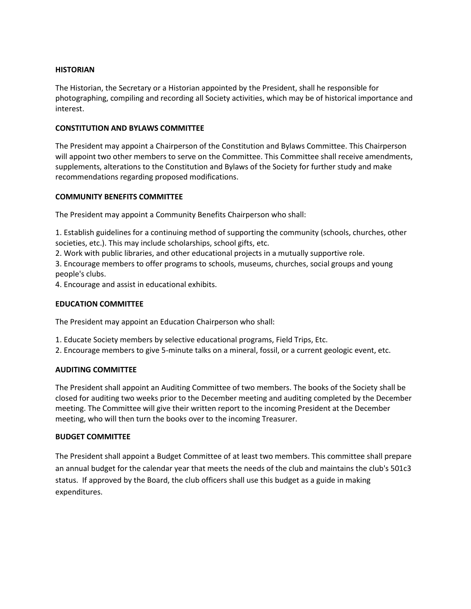### **HISTORIAN**

The Historian, the Secretary or a Historian appointed by the President, shall he responsible for photographing, compiling and recording all Society activities, which may be of historical importance and interest.

### **CONSTITUTION AND BYLAWS COMMITTEE**

The President may appoint a Chairperson of the Constitution and Bylaws Committee. This Chairperson will appoint two other members to serve on the Committee. This Committee shall receive amendments, supplements, alterations to the Constitution and Bylaws of the Society for further study and make recommendations regarding proposed modifications.

### **COMMUNITY BENEFITS COMMITTEE**

The President may appoint a Community Benefits Chairperson who shall:

1. Establish guidelines for a continuing method of supporting the community (schools, churches, other societies, etc.). This may include scholarships, school gifts, etc.

2. Work with public libraries, and other educational projects in a mutually supportive role.

3. Encourage members to offer programs to schools, museums, churches, social groups and young people's clubs.

4. Encourage and assist in educational exhibits.

### **EDUCATION COMMITTEE**

The President may appoint an Education Chairperson who shall:

- 1. Educate Society members by selective educational programs, Field Trips, Etc.
- 2. Encourage members to give 5-minute talks on a mineral, fossil, or a current geologic event, etc.

# **AUDITING COMMITTEE**

The President shall appoint an Auditing Committee of two members. The books of the Society shall be closed for auditing two weeks prior to the December meeting and auditing completed by the December meeting. The Committee will give their written report to the incoming President at the December meeting, who will then turn the books over to the incoming Treasurer.

### **BUDGET COMMITTEE**

The President shall appoint a Budget Committee of at least two members. This committee shall prepare an annual budget for the calendar year that meets the needs of the club and maintains the club's 501c3 status. If approved by the Board, the club officers shall use this budget as a guide in making expenditures.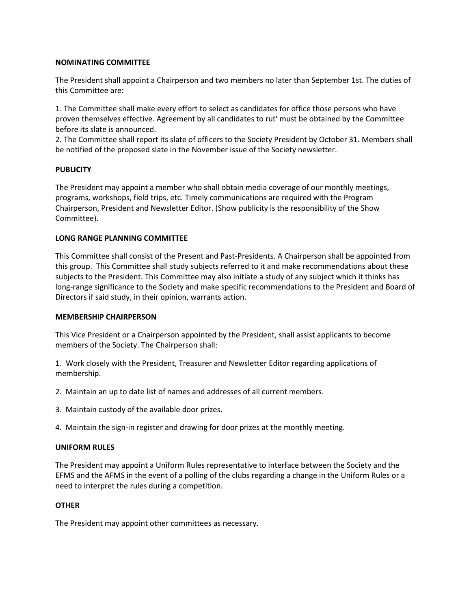### **NOMINATING COMMITTEE**

The President shall appoint a Chairperson and two members no later than September 1st. The duties of this Committee are:

1. The Committee shall make every effort to select as candidates for office those persons who have proven themselves effective. Agreement by all candidates to rut' must be obtained by the Committee before its slate is announced.

2. The Committee shall report its slate of officers to the Society President by October 31. Members shall be notified of the proposed slate in the November issue of the Society newsletter.

### **PUBLICITY**

The President may appoint a member who shall obtain media coverage of our monthly meetings, programs, workshops, field trips, etc. Timely communications are required with the Program Chairperson, President and Newsletter Editor. (Show publicity is the responsibility of the Show Committee).

### **LONG RANGE PLANNING COMMITTEE**

This Committee shall consist of the Present and Past-Presidents. A Chairperson shall be appointed from this group. This Committee shall study subjects referred to it and make recommendations about these subjects to the President. This Committee may also initiate a study of any subject which it thinks has long-range significance to the Society and make specific recommendations to the President and Board of Directors if said study, in their opinion, warrants action.

### **MEMBERSHIP CHAIRPERSON**

This Vice President or a Chairperson appointed by the President, shall assist applicants to become members of the Society. The Chairperson shall:

1. Work closely with the President, Treasurer and Newsletter Editor regarding applications of membership.

- 2. Maintain an up to date list of names and addresses of all current members.
- 3. Maintain custody of the available door prizes.
- 4. Maintain the sign-in register and drawing for door prizes at the monthly meeting.

### **UNIFORM RULES**

The President may appoint a Uniform Rules representative to interface between the Society and the EFMS and the AFMS in the event of a polling of the clubs regarding a change in the Uniform Rules or a need to interpret the rules during a competition.

### **OTHER**

The President may appoint other committees as necessary.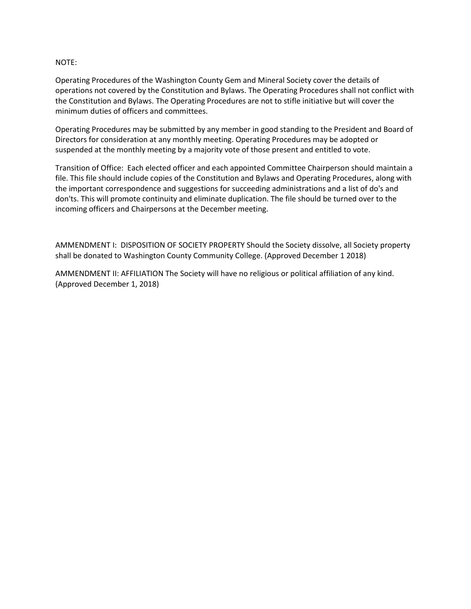### NOTE:

Operating Procedures of the Washington County Gem and Mineral Society cover the details of operations not covered by the Constitution and Bylaws. The Operating Procedures shall not conflict with the Constitution and Bylaws. The Operating Procedures are not to stifle initiative but will cover the minimum duties of officers and committees.

Operating Procedures may be submitted by any member in good standing to the President and Board of Directors for consideration at any monthly meeting. Operating Procedures may be adopted or suspended at the monthly meeting by a majority vote of those present and entitled to vote.

Transition of Office: Each elected officer and each appointed Committee Chairperson should maintain a file. This file should include copies of the Constitution and Bylaws and Operating Procedures, along with the important correspondence and suggestions for succeeding administrations and a list of do's and don'ts. This will promote continuity and eliminate duplication. The file should be turned over to the incoming officers and Chairpersons at the December meeting.

AMMENDMENT I: DISPOSITION OF SOCIETY PROPERTY Should the Society dissolve, all Society property shall be donated to Washington County Community College. (Approved December 1 2018)

AMMENDMENT II: AFFILIATION The Society will have no religious or political affiliation of any kind. (Approved December 1, 2018)